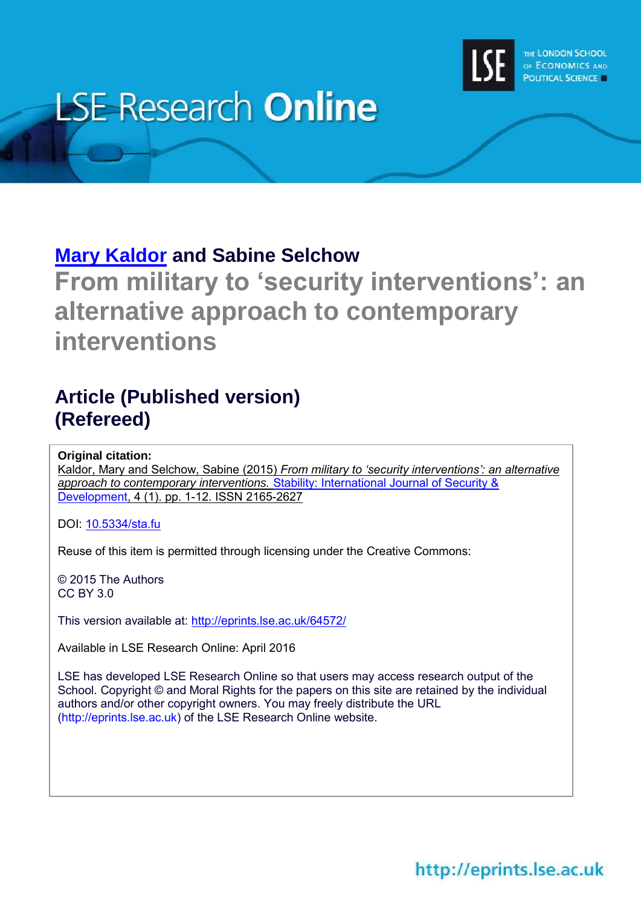

# **LSE Research Online**

# **[Mary Kaldor](http://www.lse.ac.uk/researchAndExpertise/Experts/profile.aspx?KeyValue=m.h.kaldor@lse.ac.uk) and Sabine Selchow**

**From military to 'security interventions': an alternative approach to contemporary interventions**

# **Article (Published version) (Refereed)**

**Original citation:**

Kaldor, Mary and Selchow, Sabine (2015) *From military to 'security interventions': an alternative approach to contemporary interventions.* [Stability: International Journal of Security &](http://www.stabilityjournal.org/)  [Development,](http://www.stabilityjournal.org/) 4 (1). pp. 1-12. ISSN 2165-2627

DOI: [10.5334/sta.fu](http://dx.doi.org/10.5334/sta.fu)

Reuse of this item is permitted through licensing under the Creative Commons:

© 2015 The Authors CC BY 3.0

This version available at:<http://eprints.lse.ac.uk/64572/>

Available in LSE Research Online: April 2016

LSE has developed LSE Research Online so that users may access research output of the School. Copyright © and Moral Rights for the papers on this site are retained by the individual authors and/or other copyright owners. You may freely distribute the URL (http://eprints.lse.ac.uk) of the LSE Research Online website.

http://eprints.lse.ac.uk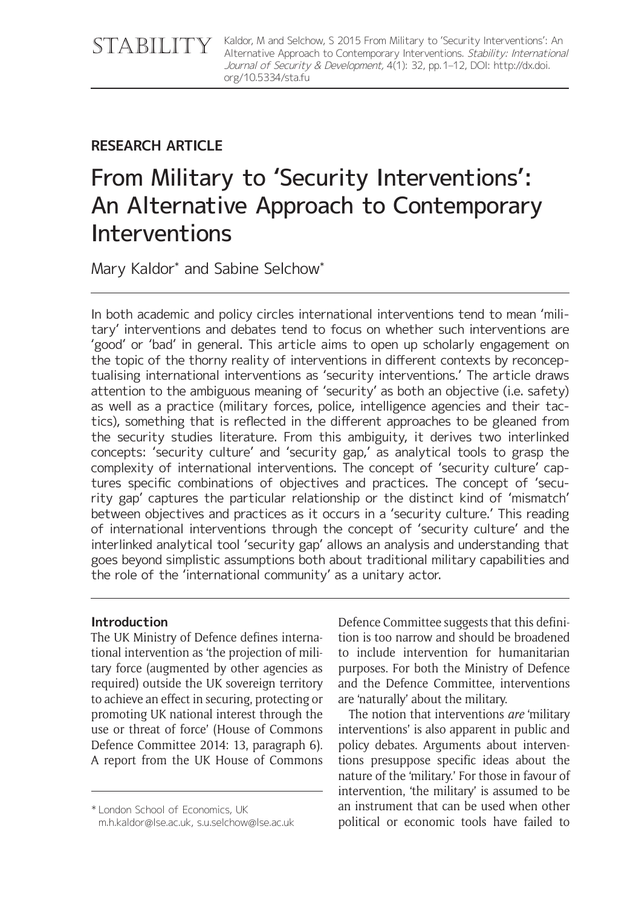Kaldor, M and Selchow, S 2015 From Military to 'Security Interventions': An Alternative Approach to Contemporary Interventions. Stability: International Journal of Security & Development, 4(1): 32, pp. 1–12, DOI: [http://dx.doi.](http://dx.doi.org/10.5334/sta.fu) [org/10.5334/sta.fu](http://dx.doi.org/10.5334/sta.fu)

# **RESEARCH ARTICLE**

# From Military to 'Security Interventions': An Alternative Approach to Contemporary Interventions

Mary Kaldor\* and Sabine Selchow\*

In both academic and policy circles international interventions tend to mean 'military' interventions and debates tend to focus on whether such interventions are 'good' or 'bad' in general. This article aims to open up scholarly engagement on the topic of the thorny reality of interventions in different contexts by reconceptualising international interventions as 'security interventions.' The article draws attention to the ambiguous meaning of 'security' as both an objective (i.e. safety) as well as a practice (military forces, police, intelligence agencies and their tactics), something that is reflected in the different approaches to be gleaned from the security studies literature. From this ambiguity, it derives two interlinked concepts: 'security culture' and 'security gap,' as analytical tools to grasp the complexity of international interventions. The concept of 'security culture' captures specific combinations of objectives and practices. The concept of 'security gap' captures the particular relationship or the distinct kind of 'mismatch' between objectives and practices as it occurs in a 'security culture.' This reading of international interventions through the concept of 'security culture' and the interlinked analytical tool 'security gap' allows an analysis and understanding that goes beyond simplistic assumptions both about traditional military capabilities and the role of the 'international community' as a unitary actor.

# **Introduction**

The UK Ministry of Defence defines international intervention as 'the projection of military force (augmented by other agencies as required) outside the UK sovereign territory to achieve an effect in securing, protecting or promoting UK national interest through the use or threat of force' (House of Commons Defence Committee 2014: 13, paragraph 6). A report from the UK House of Commons Defence Committee suggests that this definition is too narrow and should be broadened to include intervention for humanitarian purposes. For both the Ministry of Defence and the Defence Committee, interventions are 'naturally' about the military.

The notion that interventions *are* 'military interventions' is also apparent in public and policy debates. Arguments about interventions presuppose specific ideas about the nature of the 'military.' For those in favour of intervention, 'the military' is assumed to be an instrument that can be used when other political or economic tools have failed to

<sup>\*</sup> London School of Economics, UK

[m.h.kaldor@lse.ac.uk](mailto:m.h.kaldor@lse.ac.uk), [s.u.selchow@lse.ac.uk](mailto:s.u.selchow@lse.ac.uk)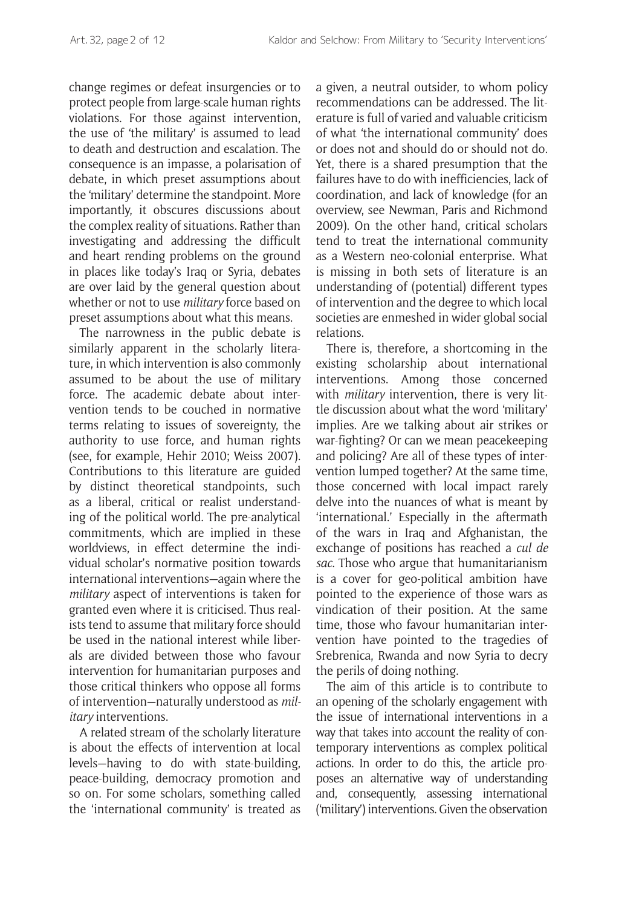change regimes or defeat insurgencies or to protect people from large-scale human rights violations. For those against intervention, the use of 'the military' is assumed to lead to death and destruction and escalation. The consequence is an impasse, a polarisation of debate, in which preset assumptions about the 'military' determine the standpoint. More importantly, it obscures discussions about the complex reality of situations. Rather than investigating and addressing the difficult and heart rending problems on the ground in places like today's Iraq or Syria, debates are over laid by the general question about whether or not to use *military* force based on preset assumptions about what this means.

The narrowness in the public debate is similarly apparent in the scholarly literature, in which intervention is also commonly assumed to be about the use of military force. The academic debate about intervention tends to be couched in normative terms relating to issues of sovereignty, the authority to use force, and human rights (see, for example, Hehir 2010; Weiss 2007). Contributions to this literature are guided by distinct theoretical standpoints, such as a liberal, critical or realist understanding of the political world. The pre-analytical commitments, which are implied in these worldviews, in effect determine the individual scholar's normative position towards international interventions—again where the *military* aspect of interventions is taken for granted even where it is criticised. Thus realists tend to assume that military force should be used in the national interest while liberals are divided between those who favour intervention for humanitarian purposes and those critical thinkers who oppose all forms of intervention—naturally understood as *military* interventions.

A related stream of the scholarly literature is about the effects of intervention at local levels—having to do with state-building, peace-building, democracy promotion and so on. For some scholars, something called the 'international community' is treated as a given, a neutral outsider, to whom policy recommendations can be addressed. The literature is full of varied and valuable criticism of what 'the international community' does or does not and should do or should not do. Yet, there is a shared presumption that the failures have to do with inefficiencies, lack of coordination, and lack of knowledge (for an overview, see Newman, Paris and Richmond 2009). On the other hand, critical scholars tend to treat the international community as a Western neo-colonial enterprise. What is missing in both sets of literature is an understanding of (potential) different types of intervention and the degree to which local societies are enmeshed in wider global social relations.

There is, therefore, a shortcoming in the existing scholarship about international interventions. Among those concerned with *military* intervention, there is very little discussion about what the word 'military' implies. Are we talking about air strikes or war-fighting? Or can we mean peacekeeping and policing? Are all of these types of intervention lumped together? At the same time, those concerned with local impact rarely delve into the nuances of what is meant by 'international.' Especially in the aftermath of the wars in Iraq and Afghanistan, the exchange of positions has reached a *cul de sac*. Those who argue that humanitarianism is a cover for geo-political ambition have pointed to the experience of those wars as vindication of their position. At the same time, those who favour humanitarian intervention have pointed to the tragedies of Srebrenica, Rwanda and now Syria to decry the perils of doing nothing.

The aim of this article is to contribute to an opening of the scholarly engagement with the issue of international interventions in a way that takes into account the reality of contemporary interventions as complex political actions. In order to do this, the article proposes an alternative way of understanding and, consequently, assessing international ('military') interventions. Given the observation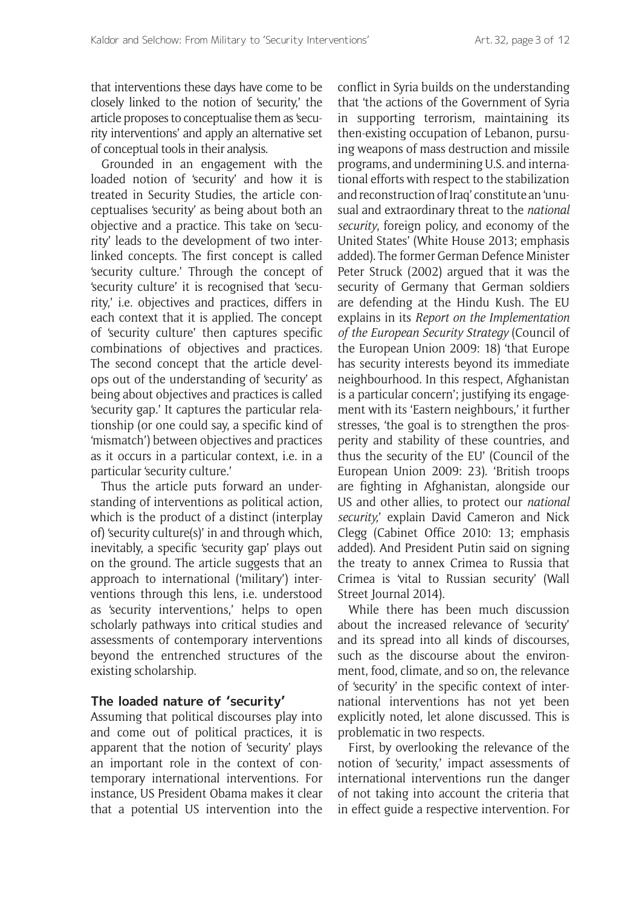that interventions these days have come to be closely linked to the notion of 'security,' the article proposes to conceptualise them as 'security interventions' and apply an alternative set of conceptual tools in their analysis.

Grounded in an engagement with the loaded notion of 'security' and how it is treated in Security Studies, the article conceptualises 'security' as being about both an objective and a practice. This take on 'security' leads to the development of two interlinked concepts. The first concept is called 'security culture.' Through the concept of 'security culture' it is recognised that 'security,' i.e. objectives and practices, differs in each context that it is applied. The concept of 'security culture' then captures specific combinations of objectives and practices. The second concept that the article develops out of the understanding of 'security' as being about objectives and practices is called 'security gap.' It captures the particular relationship (or one could say, a specific kind of 'mismatch') between objectives and practices as it occurs in a particular context, i.e. in a particular 'security culture.'

Thus the article puts forward an understanding of interventions as political action, which is the product of a distinct (interplay of) 'security culture(s)' in and through which, inevitably, a specific 'security gap' plays out on the ground. The article suggests that an approach to international ('military') interventions through this lens, i.e. understood as 'security interventions,' helps to open scholarly pathways into critical studies and assessments of contemporary interventions beyond the entrenched structures of the existing scholarship.

## **The loaded nature of 'security'**

Assuming that political discourses play into and come out of political practices, it is apparent that the notion of 'security' plays an important role in the context of contemporary international interventions. For instance, US President Obama makes it clear that a potential US intervention into the conflict in Syria builds on the understanding that 'the actions of the Government of Syria in supporting terrorism, maintaining its then-existing occupation of Lebanon, pursuing weapons of mass destruction and missile programs, and undermining U.S. and international efforts with respect to the stabilization and reconstruction of Iraq' constitute an 'unusual and extraordinary threat to the *national security*, foreign policy, and economy of the United States' (White House 2013; emphasis added). The former German Defence Minister Peter Struck (2002) argued that it was the security of Germany that German soldiers are defending at the Hindu Kush. The EU explains in its *Report on the Implementation of the European Security Strategy* (Council of the European Union 2009: 18) 'that Europe has security interests beyond its immediate neighbourhood. In this respect, Afghanistan is a particular concern'; justifying its engagement with its 'Eastern neighbours,' it further stresses, 'the goal is to strengthen the prosperity and stability of these countries, and thus the security of the EU' (Council of the European Union 2009: 23). 'British troops are fighting in Afghanistan, alongside our US and other allies, to protect our *national security,*' explain David Cameron and Nick Clegg (Cabinet Office 2010: 13; emphasis added). And President Putin said on signing the treaty to annex Crimea to Russia that Crimea is 'vital to Russian security' (Wall Street Journal 2014).

While there has been much discussion about the increased relevance of 'security' and its spread into all kinds of discourses, such as the discourse about the environment, food, climate, and so on, the relevance of 'security' in the specific context of international interventions has not yet been explicitly noted, let alone discussed. This is problematic in two respects.

First, by overlooking the relevance of the notion of 'security,' impact assessments of international interventions run the danger of not taking into account the criteria that in effect guide a respective intervention. For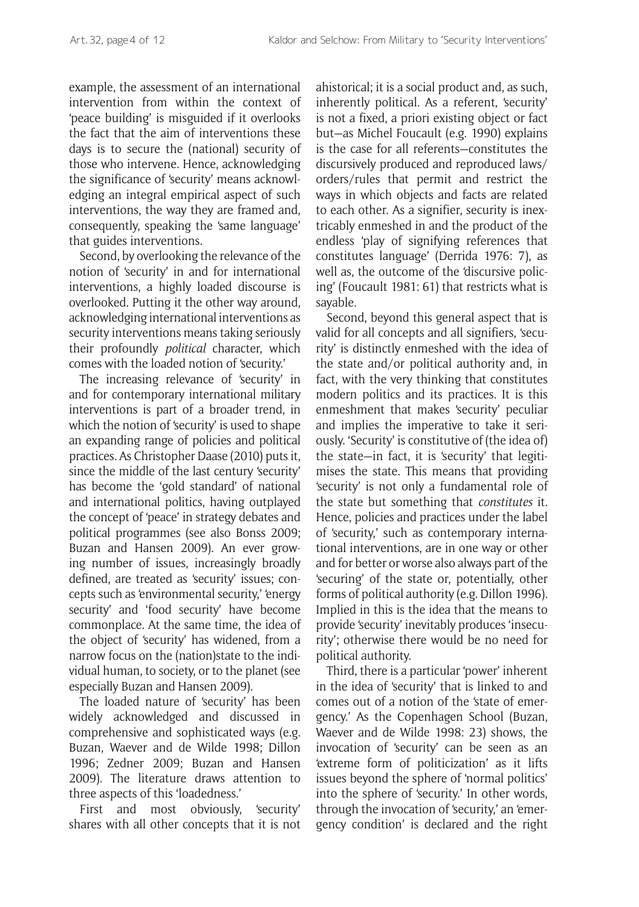example, the assessment of an international intervention from within the context of 'peace building' is misguided if it overlooks the fact that the aim of interventions these days is to secure the (national) security of those who intervene. Hence, acknowledging the significance of 'security' means acknowledging an integral empirical aspect of such interventions, the way they are framed and, consequently, speaking the 'same language' that guides interventions.

Second, by overlooking the relevance of the notion of 'security' in and for international interventions, a highly loaded discourse is overlooked. Putting it the other way around, acknowledging international interventions as security interventions means taking seriously their profoundly *political* character, which comes with the loaded notion of 'security.'

The increasing relevance of 'security' in and for contemporary international military interventions is part of a broader trend, in which the notion of 'security' is used to shape an expanding range of policies and political practices*.* As Christopher Daase (2010) puts it, since the middle of the last century 'security' has become the 'gold standard' of national and international politics, having outplayed the concept of 'peace' in strategy debates and political programmes (see also Bonss 2009; Buzan and Hansen 2009). An ever growing number of issues, increasingly broadly defined, are treated as 'security' issues; concepts such as 'environmental security,' 'energy security' and 'food security' have become commonplace. At the same time, the idea of the object of 'security' has widened, from a narrow focus on the (nation)state to the individual human, to society, or to the planet (see especially Buzan and Hansen 2009).

The loaded nature of 'security' has been widely acknowledged and discussed in comprehensive and sophisticated ways (e.g. Buzan, Waever and de Wilde 1998; Dillon 1996; Zedner 2009; Buzan and Hansen 2009). The literature draws attention to three aspects of this 'loadedness.'

First and most obviously, 'security' shares with all other concepts that it is not ahistorical; it is a social product and, as such, inherently political. As a referent, 'security' is not a fixed, a priori existing object or fact but—as Michel Foucault (e.g. 1990) explains is the case for all referents—constitutes the discursively produced and reproduced laws/ orders/rules that permit and restrict the ways in which objects and facts are related to each other. As a signifier, security is inextricably enmeshed in and the product of the endless 'play of signifying references that constitutes language' (Derrida 1976: 7), as well as, the outcome of the 'discursive policing' (Foucault 1981: 61) that restricts what is sayable.

Second, beyond this general aspect that is valid for all concepts and all signifiers, 'security' is distinctly enmeshed with the idea of the state and/or political authority and, in fact, with the very thinking that constitutes modern politics and its practices. It is this enmeshment that makes 'security' peculiar and implies the imperative to take it seriously. 'Security' is constitutive of (the idea of) the state—in fact, it is 'security' that legitimises the state. This means that providing 'security' is not only a fundamental role of the state but something that *constitutes* it. Hence, policies and practices under the label of 'security,' such as contemporary international interventions, are in one way or other and for better or worse also always part of the 'securing' of the state or, potentially, other forms of political authority (e.g. Dillon 1996). Implied in this is the idea that the means to provide 'security' inevitably produces 'insecurity'; otherwise there would be no need for political authority.

Third, there is a particular 'power' inherent in the idea of 'security' that is linked to and comes out of a notion of the 'state of emergency.' As the Copenhagen School (Buzan, Waever and de Wilde 1998: 23) shows, the invocation of 'security' can be seen as an 'extreme form of politicization' as it lifts issues beyond the sphere of 'normal politics' into the sphere of 'security.' In other words, through the invocation of 'security,' an 'emergency condition' is declared and the right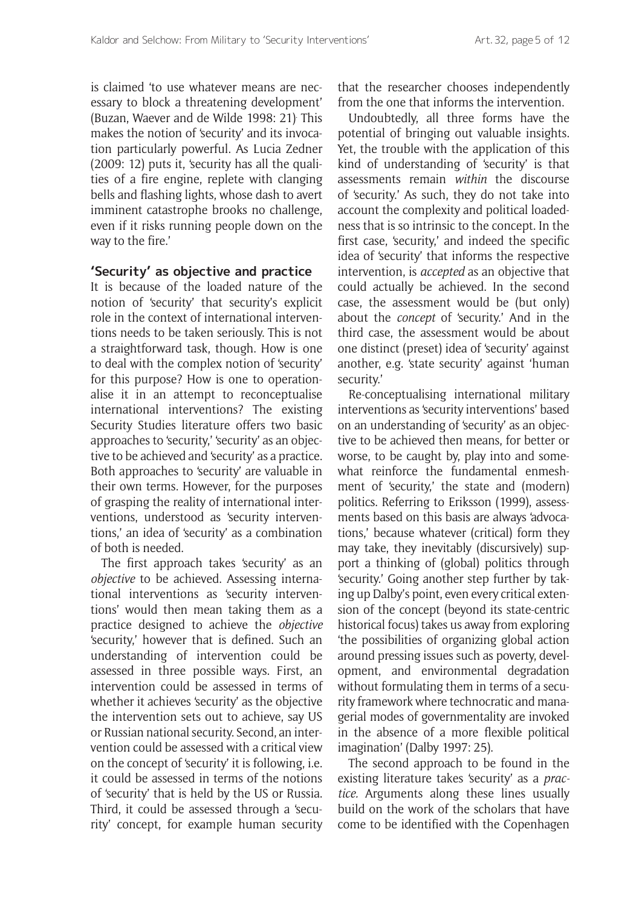is claimed 'to use whatever means are necessary to block a threatening development' (Buzan, Waever and de Wilde 1998: 21). This makes the notion of 'security' and its invocation particularly powerful. As Lucia Zedner (2009: 12) puts it, 'security has all the qualities of a fire engine, replete with clanging bells and flashing lights, whose dash to avert imminent catastrophe brooks no challenge, even if it risks running people down on the way to the fire.'

## **'Security' as objective and practice**

It is because of the loaded nature of the notion of 'security' that security's explicit role in the context of international interventions needs to be taken seriously. This is not a straightforward task, though. How is one to deal with the complex notion of 'security' for this purpose? How is one to operationalise it in an attempt to reconceptualise international interventions? The existing Security Studies literature offers two basic approaches to 'security,' 'security' as an objective to be achieved and 'security' as a practice. Both approaches to 'security' are valuable in their own terms. However, for the purposes of grasping the reality of international interventions, understood as 'security interventions,' an idea of 'security' as a combination of both is needed.

The first approach takes 'security' as an *objective* to be achieved. Assessing international interventions as 'security interventions' would then mean taking them as a practice designed to achieve the *objective*  'security,' however that is defined. Such an understanding of intervention could be assessed in three possible ways. First, an intervention could be assessed in terms of whether it achieves 'security' as the objective the intervention sets out to achieve, say US or Russian national security. Second, an intervention could be assessed with a critical view on the concept of 'security' it is following, i.e. it could be assessed in terms of the notions of 'security' that is held by the US or Russia. Third, it could be assessed through a 'security' concept, for example human security that the researcher chooses independently from the one that informs the intervention.

Undoubtedly, all three forms have the potential of bringing out valuable insights. Yet, the trouble with the application of this kind of understanding of 'security' is that assessments remain *within* the discourse of 'security.' As such, they do not take into account the complexity and political loadedness that is so intrinsic to the concept. In the first case, 'security,' and indeed the specific idea of 'security' that informs the respective intervention, is *accepted* as an objective that could actually be achieved. In the second case, the assessment would be (but only) about the *concept* of 'security.' And in the third case, the assessment would be about one distinct (preset) idea of 'security' against another, e.g. 'state security' against 'human security.'

Re-conceptualising international military interventions as 'security interventions' based on an understanding of 'security' as an objective to be achieved then means, for better or worse, to be caught by, play into and somewhat reinforce the fundamental enmeshment of 'security,' the state and (modern) politics. Referring to Eriksson (1999), assessments based on this basis are always 'advocations,' because whatever (critical) form they may take, they inevitably (discursively) support a thinking of (global) politics through 'security.' Going another step further by taking up Dalby's point, even every critical extension of the concept (beyond its state-centric historical focus) takes us away from exploring 'the possibilities of organizing global action around pressing issues such as poverty, development, and environmental degradation without formulating them in terms of a security framework where technocratic and managerial modes of governmentality are invoked in the absence of a more flexible political imagination' (Dalby 1997: 25).

The second approach to be found in the existing literature takes 'security' as a *practice.* Arguments along these lines usually build on the work of the scholars that have come to be identified with the Copenhagen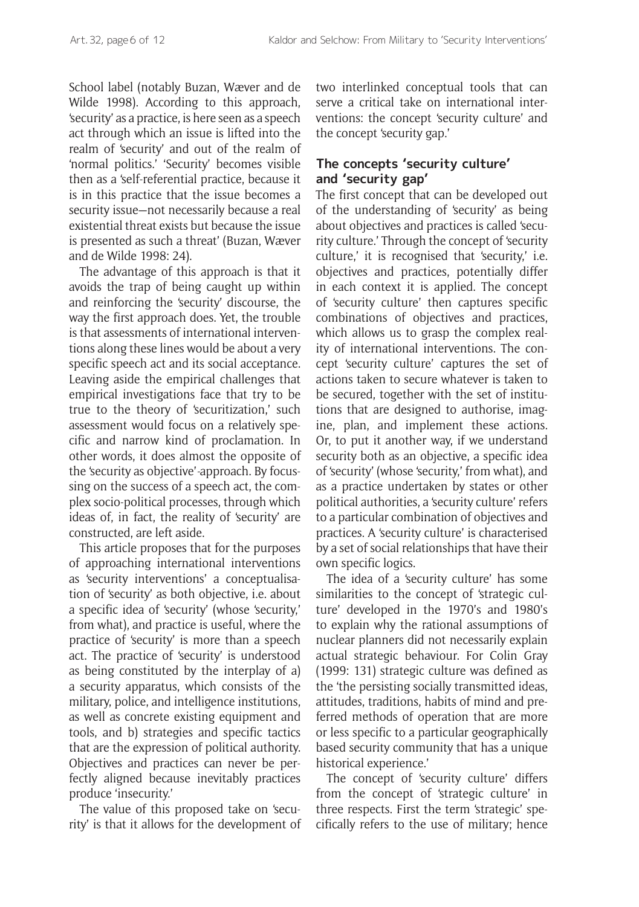School label (notably Buzan, Wæver and de Wilde 1998). According to this approach, 'security' as a practice, is here seen as a speech act through which an issue is lifted into the realm of 'security' and out of the realm of 'normal politics.' 'Security' becomes visible then as a 'self-referential practice, because it is in this practice that the issue becomes a security issue—not necessarily because a real existential threat exists but because the issue is presented as such a threat' (Buzan, Wæver and de Wilde 1998: 24).

The advantage of this approach is that it avoids the trap of being caught up within and reinforcing the 'security' discourse, the way the first approach does. Yet, the trouble is that assessments of international interventions along these lines would be about a very specific speech act and its social acceptance. Leaving aside the empirical challenges that empirical investigations face that try to be true to the theory of 'securitization,' such assessment would focus on a relatively specific and narrow kind of proclamation. In other words, it does almost the opposite of the 'security as objective'*-*approach. By focussing on the success of a speech act, the complex socio-political processes, through which ideas of, in fact, the reality of 'security' are constructed, are left aside.

This article proposes that for the purposes of approaching international interventions as 'security interventions' a conceptualisation of 'security' as both objective, i.e. about a specific idea of 'security' (whose 'security,' from what), and practice is useful, where the practice of 'security' is more than a speech act. The practice of 'security' is understood as being constituted by the interplay of a) a security apparatus, which consists of the military, police, and intelligence institutions, as well as concrete existing equipment and tools, and b) strategies and specific tactics that are the expression of political authority. Objectives and practices can never be perfectly aligned because inevitably practices produce 'insecurity.'

The value of this proposed take on 'security' is that it allows for the development of two interlinked conceptual tools that can serve a critical take on international interventions: the concept 'security culture' and the concept 'security gap.'

# **The concepts 'security culture' and 'security gap'**

The first concept that can be developed out of the understanding of 'security' as being about objectives and practices is called 'security culture.' Through the concept of 'security culture,' it is recognised that 'security,' i.e. objectives and practices, potentially differ in each context it is applied. The concept of 'security culture' then captures specific combinations of objectives and practices, which allows us to grasp the complex reality of international interventions. The concept 'security culture' captures the set of actions taken to secure whatever is taken to be secured, together with the set of institutions that are designed to authorise, imagine, plan, and implement these actions. Or, to put it another way, if we understand security both as an objective, a specific idea of 'security' (whose 'security,' from what), and as a practice undertaken by states or other political authorities, a 'security culture' refers to a particular combination of objectives and practices. A 'security culture' is characterised by a set of social relationships that have their own specific logics.

The idea of a 'security culture' has some similarities to the concept of 'strategic culture' developed in the 1970's and 1980's to explain why the rational assumptions of nuclear planners did not necessarily explain actual strategic behaviour. For Colin Gray (1999: 131) strategic culture was defined as the 'the persisting socially transmitted ideas, attitudes, traditions, habits of mind and preferred methods of operation that are more or less specific to a particular geographically based security community that has a unique historical experience.'

The concept of 'security culture' differs from the concept of 'strategic culture' in three respects. First the term 'strategic' specifically refers to the use of military; hence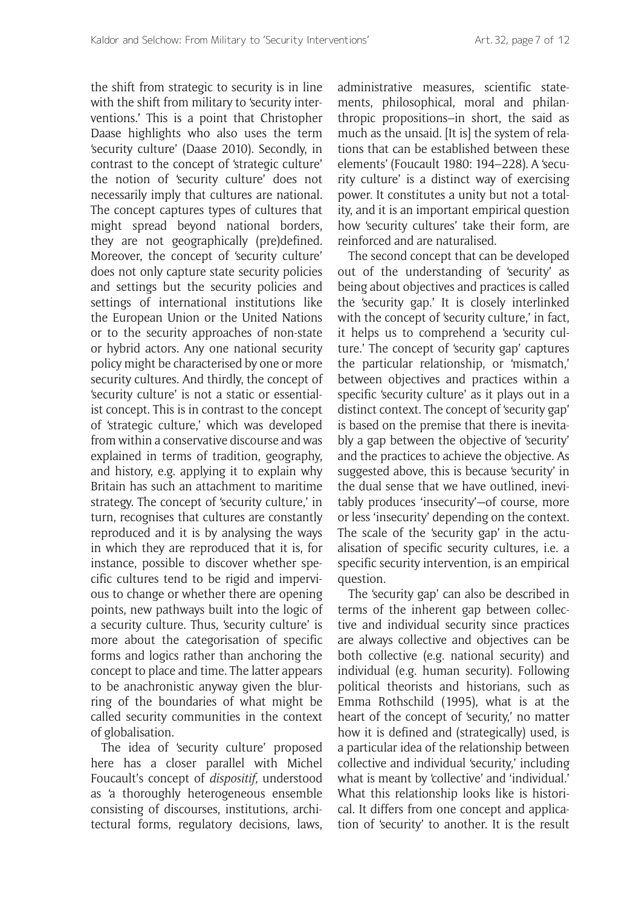the shift from strategic to security is in line with the shift from military to 'security interventions.' This is a point that Christopher Daase highlights who also uses the term 'security culture' (Daase 2010). Secondly, in contrast to the concept of 'strategic culture' the notion of 'security culture' does not necessarily imply that cultures are national. The concept captures types of cultures that might spread beyond national borders, they are not geographically (pre)defined. Moreover, the concept of 'security culture' does not only capture state security policies and settings but the security policies and settings of international institutions like the European Union or the United Nations or to the security approaches of non-state or hybrid actors. Any one national security policy might be characterised by one or more security cultures. And thirdly, the concept of 'security culture' is not a static or essentialist concept. This is in contrast to the concept of 'strategic culture,' which was developed from within a conservative discourse and was explained in terms of tradition, geography, and history, e.g. applying it to explain why Britain has such an attachment to maritime strategy. The concept of 'security culture,' in turn, recognises that cultures are constantly reproduced and it is by analysing the ways in which they are reproduced that it is, for instance, possible to discover whether specific cultures tend to be rigid and impervious to change or whether there are opening points, new pathways built into the logic of a security culture. Thus, 'security culture' is more about the categorisation of specific forms and logics rather than anchoring the concept to place and time. The latter appears to be anachronistic anyway given the blurring of the boundaries of what might be called security communities in the context of globalisation.

The idea of 'security culture' proposed here has a closer parallel with Michel Foucault's concept of *dispositif,* understood as 'a thoroughly heterogeneous ensemble consisting of discourses, institutions, architectural forms, regulatory decisions, laws,

administrative measures, scientific statements, philosophical, moral and philanthropic propositions–in short, the said as much as the unsaid. [It is] the system of relations that can be established between these elements' (Foucault 1980: 194–228). A 'security culture' is a distinct way of exercising power. It constitutes a unity but not a totality, and it is an important empirical question how 'security cultures' take their form, are reinforced and are naturalised.

The second concept that can be developed out of the understanding of 'security' as being about objectives and practices is called the 'security gap.' It is closely interlinked with the concept of 'security culture,' in fact, it helps us to comprehend a 'security culture.' The concept of 'security gap' captures the particular relationship, or 'mismatch,' between objectives and practices within a specific 'security culture' as it plays out in a distinct context. The concept of 'security gap' is based on the premise that there is inevitably a gap between the objective of 'security' and the practices to achieve the objective. As suggested above, this is because 'security' in the dual sense that we have outlined, inevitably produces 'insecurity'—of course, more or less 'insecurity' depending on the context. The scale of the 'security gap' in the actualisation of specific security cultures, i.e. a specific security intervention, is an empirical question.

The 'security gap' can also be described in terms of the inherent gap between collective and individual security since practices are always collective and objectives can be both collective (e.g. national security) and individual (e.g. human security). Following political theorists and historians, such as Emma Rothschild (1995), what is at the heart of the concept of 'security,' no matter how it is defined and (strategically) used, is a particular idea of the relationship between collective and individual 'security,' including what is meant by 'collective' and 'individual.' What this relationship looks like is historical. It differs from one concept and application of 'security' to another. It is the result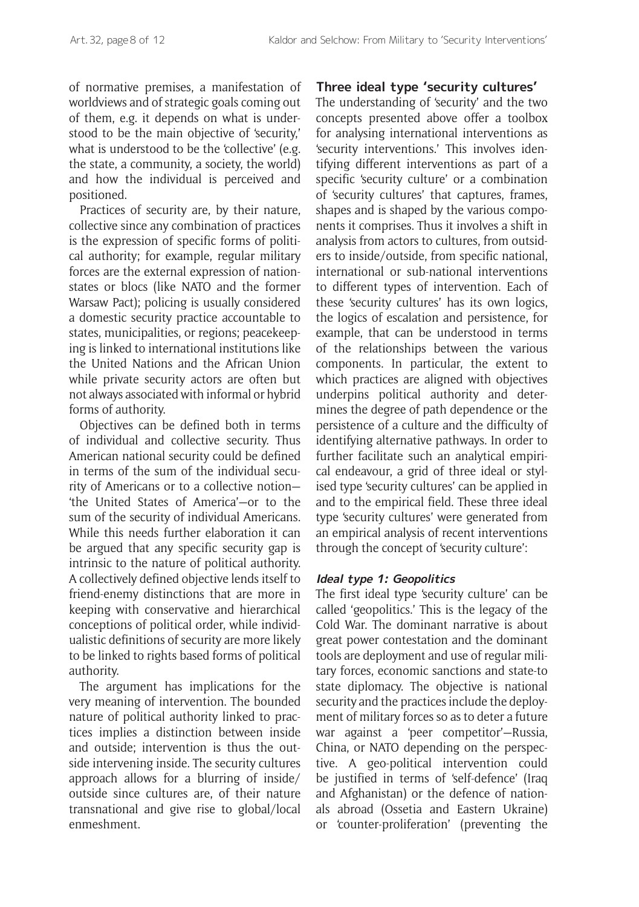of normative premises, a manifestation of worldviews and of strategic goals coming out of them, e.g. it depends on what is understood to be the main objective of 'security,' what is understood to be the 'collective' (e.g. the state, a community, a society, the world) and how the individual is perceived and positioned.

Practices of security are, by their nature, collective since any combination of practices is the expression of specific forms of political authority; for example, regular military forces are the external expression of nationstates or blocs (like NATO and the former Warsaw Pact); policing is usually considered a domestic security practice accountable to states, municipalities, or regions; peacekeeping is linked to international institutions like the United Nations and the African Union while private security actors are often but not always associated with informal or hybrid forms of authority.

Objectives can be defined both in terms of individual and collective security. Thus American national security could be defined in terms of the sum of the individual security of Americans or to a collective notion— 'the United States of America'—or to the sum of the security of individual Americans. While this needs further elaboration it can be argued that any specific security gap is intrinsic to the nature of political authority. A collectively defined objective lends itself to friend-enemy distinctions that are more in keeping with conservative and hierarchical conceptions of political order, while individualistic definitions of security are more likely to be linked to rights based forms of political authority.

The argument has implications for the very meaning of intervention. The bounded nature of political authority linked to practices implies a distinction between inside and outside; intervention is thus the outside intervening inside. The security cultures approach allows for a blurring of inside/ outside since cultures are, of their nature transnational and give rise to global/local enmeshment.

# **Three ideal type 'security cultures'**

The understanding of 'security' and the two concepts presented above offer a toolbox for analysing international interventions as 'security interventions.' This involves identifying different interventions as part of a specific 'security culture' or a combination of 'security cultures' that captures, frames, shapes and is shaped by the various components it comprises. Thus it involves a shift in analysis from actors to cultures, from outsiders to inside/outside, from specific national, international or sub-national interventions to different types of intervention. Each of these 'security cultures' has its own logics, the logics of escalation and persistence, for example, that can be understood in terms of the relationships between the various components. In particular, the extent to which practices are aligned with objectives underpins political authority and determines the degree of path dependence or the persistence of a culture and the difficulty of identifying alternative pathways. In order to further facilitate such an analytical empirical endeavour, a grid of three ideal or stylised type 'security cultures' can be applied in and to the empirical field. These three ideal type 'security cultures' were generated from an empirical analysis of recent interventions through the concept of 'security culture':

# **Ideal type 1: Geopolitics**

The first ideal type 'security culture' can be called 'geopolitics.' This is the legacy of the Cold War. The dominant narrative is about great power contestation and the dominant tools are deployment and use of regular military forces, economic sanctions and state-to state diplomacy. The objective is national security and the practices include the deployment of military forces so as to deter a future war against a 'peer competitor'—Russia, China, or NATO depending on the perspective. A geo-political intervention could be justified in terms of 'self-defence' (Iraq and Afghanistan) or the defence of nationals abroad (Ossetia and Eastern Ukraine) or 'counter-proliferation' (preventing the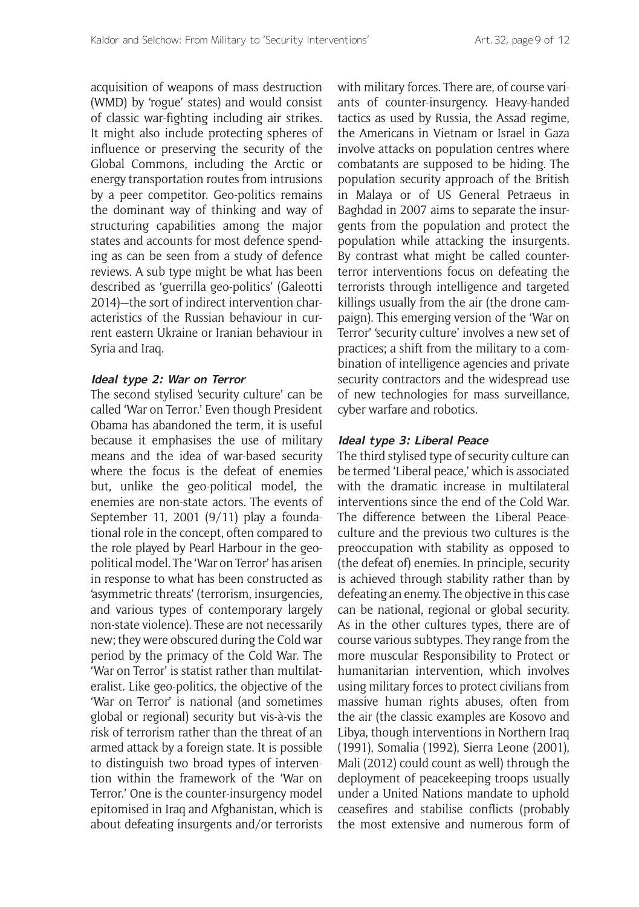acquisition of weapons of mass destruction (WMD) by 'rogue' states) and would consist of classic war-fighting including air strikes. It might also include protecting spheres of influence or preserving the security of the Global Commons, including the Arctic or energy transportation routes from intrusions by a peer competitor. Geo-politics remains the dominant way of thinking and way of structuring capabilities among the major states and accounts for most defence spending as can be seen from a study of defence reviews. A sub type might be what has been described as 'guerrilla geo-politics' (Galeotti 2014)—the sort of indirect intervention characteristics of the Russian behaviour in current eastern Ukraine or Iranian behaviour in Syria and Iraq.

#### **Ideal type 2: War on Terror**

The second stylised 'security culture' can be called 'War on Terror.' Even though President Obama has abandoned the term, it is useful because it emphasises the use of military means and the idea of war-based security where the focus is the defeat of enemies but, unlike the geo-political model, the enemies are non-state actors. The events of September 11, 2001 (9/11) play a foundational role in the concept, often compared to the role played by Pearl Harbour in the geopolitical model. The 'War on Terror' has arisen in response to what has been constructed as 'asymmetric threats' (terrorism, insurgencies, and various types of contemporary largely non-state violence). These are not necessarily new; they were obscured during the Cold war period by the primacy of the Cold War. The 'War on Terror' is statist rather than multilateralist. Like geo-politics, the objective of the 'War on Terror' is national (and sometimes global or regional) security but vis-à-vis the risk of terrorism rather than the threat of an armed attack by a foreign state. It is possible to distinguish two broad types of intervention within the framework of the 'War on Terror.' One is the counter-insurgency model epitomised in Iraq and Afghanistan, which is about defeating insurgents and/or terrorists

with military forces. There are, of course variants of counter-insurgency. Heavy-handed tactics as used by Russia, the Assad regime, the Americans in Vietnam or Israel in Gaza involve attacks on population centres where combatants are supposed to be hiding. The population security approach of the British in Malaya or of US General Petraeus in Baghdad in 2007 aims to separate the insurgents from the population and protect the population while attacking the insurgents. By contrast what might be called counterterror interventions focus on defeating the terrorists through intelligence and targeted killings usually from the air (the drone campaign). This emerging version of the 'War on Terror' 'security culture' involves a new set of practices; a shift from the military to a combination of intelligence agencies and private security contractors and the widespread use of new technologies for mass surveillance, cyber warfare and robotics.

## **Ideal type 3: Liberal Peace**

The third stylised type of security culture can be termed 'Liberal peace,' which is associated with the dramatic increase in multilateral interventions since the end of the Cold War. The difference between the Liberal Peaceculture and the previous two cultures is the preoccupation with stability as opposed to (the defeat of) enemies. In principle, security is achieved through stability rather than by defeating an enemy. The objective in this case can be national, regional or global security. As in the other cultures types, there are of course various subtypes. They range from the more muscular Responsibility to Protect or humanitarian intervention, which involves using military forces to protect civilians from massive human rights abuses, often from the air (the classic examples are Kosovo and Libya, though interventions in Northern Iraq (1991), Somalia (1992), Sierra Leone (2001), Mali (2012) could count as well) through the deployment of peacekeeping troops usually under a United Nations mandate to uphold ceasefires and stabilise conflicts (probably the most extensive and numerous form of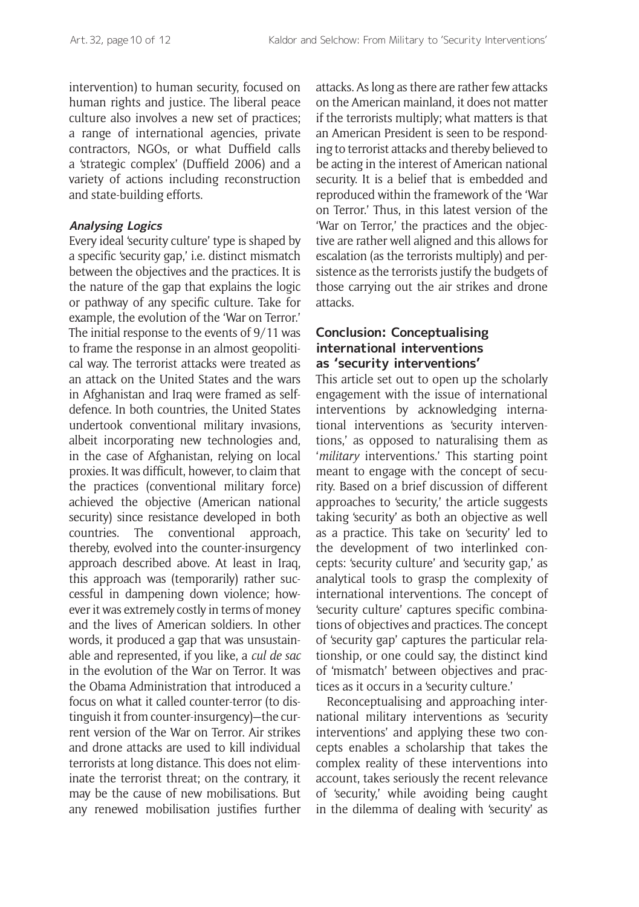intervention) to human security, focused on human rights and justice. The liberal peace culture also involves a new set of practices; a range of international agencies, private contractors, NGOs, or what Duffield calls a 'strategic complex' (Duffield 2006) and a variety of actions including reconstruction and state-building efforts.

#### **Analysing Logics**

Every ideal 'security culture' type is shaped by a specific 'security gap,' i.e. distinct mismatch between the objectives and the practices. It is the nature of the gap that explains the logic or pathway of any specific culture. Take for example, the evolution of the 'War on Terror.' The initial response to the events of 9/11 was to frame the response in an almost geopolitical way. The terrorist attacks were treated as an attack on the United States and the wars in Afghanistan and Iraq were framed as selfdefence. In both countries, the United States undertook conventional military invasions, albeit incorporating new technologies and, in the case of Afghanistan, relying on local proxies. It was difficult, however, to claim that the practices (conventional military force) achieved the objective (American national security) since resistance developed in both countries. The conventional approach, thereby, evolved into the counter-insurgency approach described above. At least in Iraq, this approach was (temporarily) rather successful in dampening down violence; however it was extremely costly in terms of money and the lives of American soldiers. In other words, it produced a gap that was unsustainable and represented, if you like, a *cul de sac* in the evolution of the War on Terror. It was the Obama Administration that introduced a focus on what it called counter-terror (to distinguish it from counter-insurgency)—the current version of the War on Terror. Air strikes and drone attacks are used to kill individual terrorists at long distance. This does not eliminate the terrorist threat; on the contrary, it may be the cause of new mobilisations. But any renewed mobilisation justifies further attacks. As long as there are rather few attacks on the American mainland, it does not matter if the terrorists multiply; what matters is that an American President is seen to be responding to terrorist attacks and thereby believed to be acting in the interest of American national security. It is a belief that is embedded and reproduced within the framework of the 'War on Terror.' Thus, in this latest version of the 'War on Terror,' the practices and the objective are rather well aligned and this allows for escalation (as the terrorists multiply) and persistence as the terrorists justify the budgets of those carrying out the air strikes and drone attacks.

## **Conclusion: Conceptualising international interventions as 'security interventions'**

This article set out to open up the scholarly engagement with the issue of international interventions by acknowledging international interventions as 'security interventions,' as opposed to naturalising them as '*military* interventions.' This starting point meant to engage with the concept of security. Based on a brief discussion of different approaches to 'security,' the article suggests taking 'security' as both an objective as well as a practice. This take on 'security' led to the development of two interlinked concepts: 'security culture' and 'security gap,' as analytical tools to grasp the complexity of international interventions. The concept of 'security culture' captures specific combinations of objectives and practices. The concept of 'security gap' captures the particular relationship, or one could say, the distinct kind of 'mismatch' between objectives and practices as it occurs in a 'security culture.'

Reconceptualising and approaching international military interventions as 'security interventions' and applying these two concepts enables a scholarship that takes the complex reality of these interventions into account, takes seriously the recent relevance of 'security,' while avoiding being caught in the dilemma of dealing with 'security' as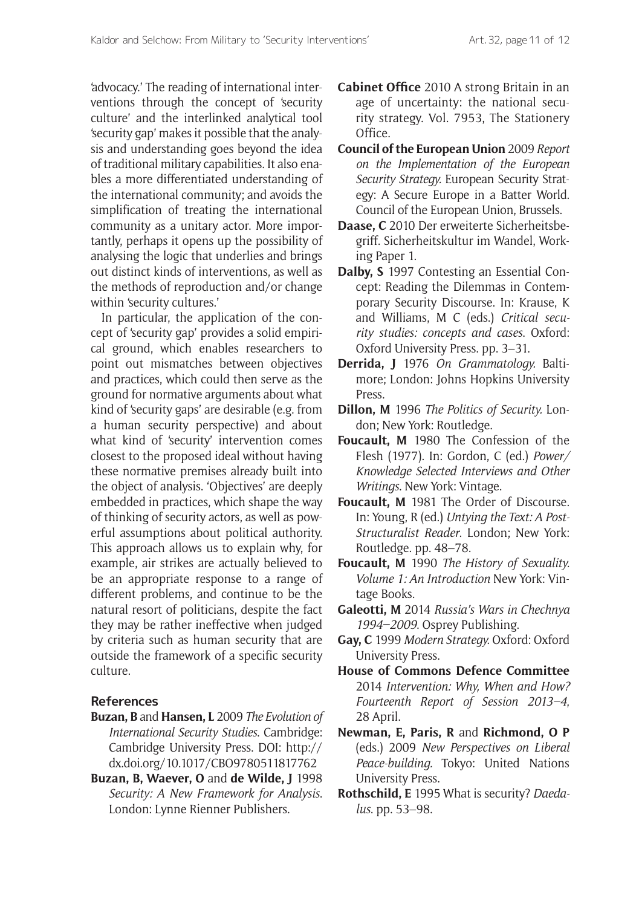'advocacy.' The reading of international interventions through the concept of 'security culture' and the interlinked analytical tool 'security gap' makes it possible that the analysis and understanding goes beyond the idea of traditional military capabilities. It also enables a more differentiated understanding of the international community; and avoids the simplification of treating the international community as a unitary actor. More importantly, perhaps it opens up the possibility of analysing the logic that underlies and brings out distinct kinds of interventions, as well as the methods of reproduction and/or change within 'security cultures.'

In particular, the application of the concept of 'security gap' provides a solid empirical ground, which enables researchers to point out mismatches between objectives and practices, which could then serve as the ground for normative arguments about what kind of 'security gaps' are desirable (e.g. from a human security perspective) and about what kind of 'security' intervention comes closest to the proposed ideal without having these normative premises already built into the object of analysis. 'Objectives' are deeply embedded in practices, which shape the way of thinking of security actors, as well as powerful assumptions about political authority. This approach allows us to explain why, for example, air strikes are actually believed to be an appropriate response to a range of different problems, and continue to be the natural resort of politicians, despite the fact they may be rather ineffective when judged by criteria such as human security that are outside the framework of a specific security culture.

# **References**

- **Buzan, B** and **Hansen, L** 2009 *The Evolution of International Security Studies*. Cambridge: Cambridge University Press. DOI: [http://](http://dx.doi.org/10.1017/CBO9780511817762) [dx.doi.org/10.1017/CBO9780511817762](http://dx.doi.org/10.1017/CBO9780511817762)
- **Buzan, B, Waever, O** and **de Wilde, J** 1998 *Security: A New Framework for Analysis*. London: Lynne Rienner Publishers.
- **Cabinet Office** 2010 A strong Britain in an age of uncertainty: the national security strategy. Vol. 7953, The Stationery Office.
- **Council of the European Union** 2009 *Report on the Implementation of the European Security Strategy.* European Security Strategy: A Secure Europe in a Batter World. Council of the European Union, Brussels.
- **Daase, C** 2010 Der erweiterte Sicherheitsbegriff. Sicherheitskultur im Wandel, Working Paper 1.
- **Dalby, S** 1997 Contesting an Essential Concept: Reading the Dilemmas in Contemporary Security Discourse. In: Krause, K and Williams, M C (eds.) *Critical security studies: concepts and cases*. Oxford: Oxford University Press. pp. 3–31.
- **Derrida, J** 1976 *On Grammatology.* Baltimore; London: Johns Hopkins University Press.
- **Dillon, M** 1996 *The Politics of Security.* London; New York: Routledge.
- **Foucault, M** 1980 The Confession of the Flesh (1977). In: Gordon, C (ed.) *Power/ Knowledge Selected Interviews and Other Writings*. New York: Vintage.
- **Foucault, M** 1981 The Order of Discourse. In: Young, R (ed.) *Untying the Text: A Post-Structuralist Reader*. London; New York: Routledge. pp. 48–78.
- **Foucault, M** 1990 *The History of Sexuality. Volume 1: An Introduction* New York: Vintage Books.
- **Galeotti, M** 2014 *Russia's Wars in Chechnya 1994–2009*. Osprey Publishing.
- **Gay, C** 1999 *Modern Strategy.* Oxford: Oxford University Press.
- **House of Commons Defence Committee** 2014 *Intervention: Why, When and How? Fourteenth Report of Session 2013–4*, 28 April.
- **Newman, E, Paris, R** and **Richmond, O P**  (eds.) 2009 *New Perspectives on Liberal Peace-building.* Tokyo: United Nations University Press.
- **Rothschild, E** 1995 What is security? *Daedalus*. pp. 53–98.